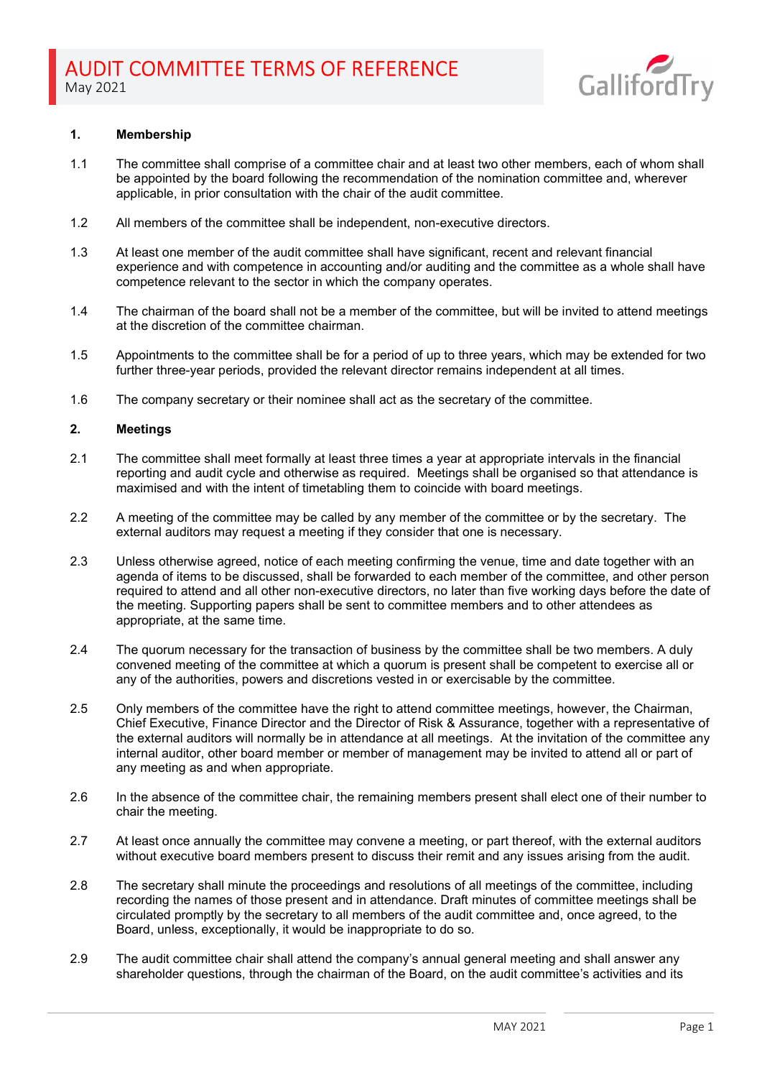

## 1. Membership

- 1.1 The committee shall comprise of a committee chair and at least two other members, each of whom shall be appointed by the board following the recommendation of the nomination committee and, wherever applicable, in prior consultation with the chair of the audit committee.
- 1.2 All members of the committee shall be independent, non-executive directors.
- 1.3 At least one member of the audit committee shall have significant, recent and relevant financial experience and with competence in accounting and/or auditing and the committee as a whole shall have competence relevant to the sector in which the company operates.
- 1.4 The chairman of the board shall not be a member of the committee, but will be invited to attend meetings at the discretion of the committee chairman.
- 1.5 Appointments to the committee shall be for a period of up to three years, which may be extended for two further three-year periods, provided the relevant director remains independent at all times.
- 1.6 The company secretary or their nominee shall act as the secretary of the committee.

## 2. Meetings

- 2.1 The committee shall meet formally at least three times a year at appropriate intervals in the financial reporting and audit cycle and otherwise as required. Meetings shall be organised so that attendance is maximised and with the intent of timetabling them to coincide with board meetings.
- 2.2 A meeting of the committee may be called by any member of the committee or by the secretary. The external auditors may request a meeting if they consider that one is necessary.
- 2.3 Unless otherwise agreed, notice of each meeting confirming the venue, time and date together with an agenda of items to be discussed, shall be forwarded to each member of the committee, and other person required to attend and all other non-executive directors, no later than five working days before the date of the meeting. Supporting papers shall be sent to committee members and to other attendees as appropriate, at the same time.
- 2.4 The quorum necessary for the transaction of business by the committee shall be two members. A duly convened meeting of the committee at which a quorum is present shall be competent to exercise all or any of the authorities, powers and discretions vested in or exercisable by the committee.
- 2.5 Only members of the committee have the right to attend committee meetings, however, the Chairman, Chief Executive, Finance Director and the Director of Risk & Assurance, together with a representative of the external auditors will normally be in attendance at all meetings. At the invitation of the committee any internal auditor, other board member or member of management may be invited to attend all or part of any meeting as and when appropriate.
- 2.6 In the absence of the committee chair, the remaining members present shall elect one of their number to chair the meeting.
- 2.7 At least once annually the committee may convene a meeting, or part thereof, with the external auditors without executive board members present to discuss their remit and any issues arising from the audit.
- 2.8 The secretary shall minute the proceedings and resolutions of all meetings of the committee, including recording the names of those present and in attendance. Draft minutes of committee meetings shall be circulated promptly by the secretary to all members of the audit committee and, once agreed, to the Board, unless, exceptionally, it would be inappropriate to do so.
- 2.9 The audit committee chair shall attend the company's annual general meeting and shall answer any shareholder questions, through the chairman of the Board, on the audit committee's activities and its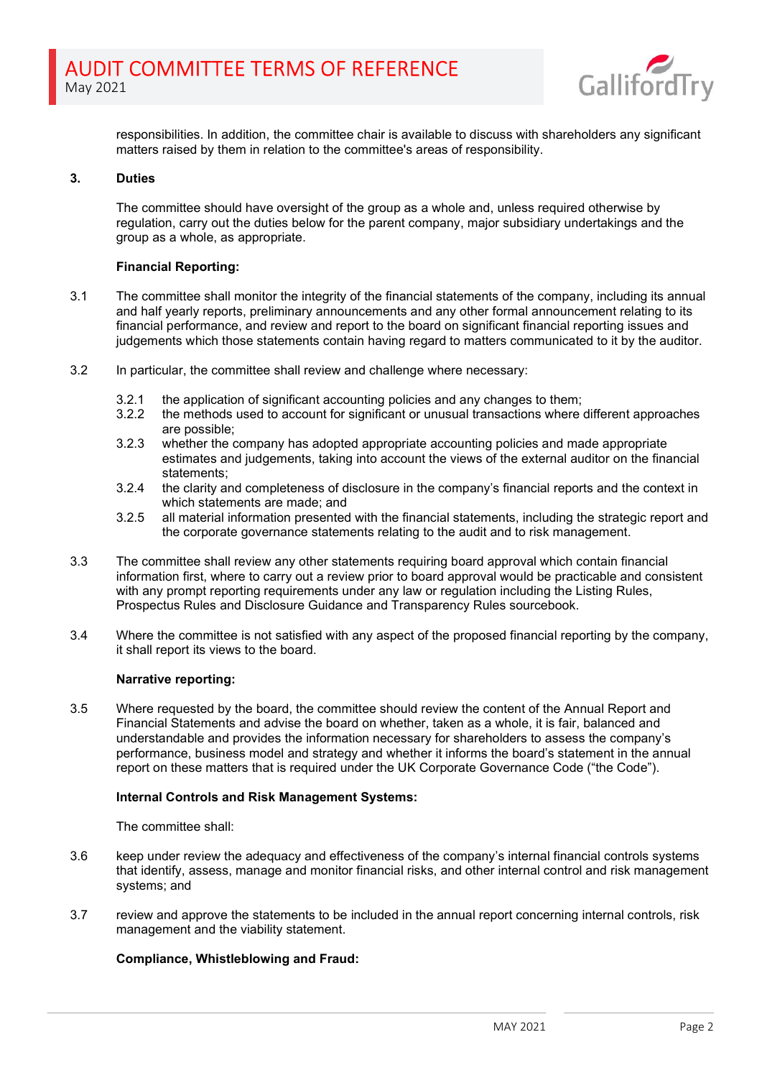

responsibilities. In addition, the committee chair is available to discuss with shareholders any significant matters raised by them in relation to the committee's areas of responsibility.

# 3. Duties

The committee should have oversight of the group as a whole and, unless required otherwise by regulation, carry out the duties below for the parent company, major subsidiary undertakings and the group as a whole, as appropriate.

## Financial Reporting:

- 3.1 The committee shall monitor the integrity of the financial statements of the company, including its annual and half yearly reports, preliminary announcements and any other formal announcement relating to its financial performance, and review and report to the board on significant financial reporting issues and judgements which those statements contain having regard to matters communicated to it by the auditor.
- 3.2 In particular, the committee shall review and challenge where necessary:
	- 3.2.1 the application of significant accounting policies and any changes to them;<br>3.2.2 the methods used to account for significant or unusual transactions where
	- the methods used to account for significant or unusual transactions where different approaches are possible;
	- 3.2.3 whether the company has adopted appropriate accounting policies and made appropriate estimates and judgements, taking into account the views of the external auditor on the financial statements;
	- 3.2.4 the clarity and completeness of disclosure in the company's financial reports and the context in which statements are made; and
	- 3.2.5 all material information presented with the financial statements, including the strategic report and the corporate governance statements relating to the audit and to risk management.
- 3.3 The committee shall review any other statements requiring board approval which contain financial information first, where to carry out a review prior to board approval would be practicable and consistent with any prompt reporting requirements under any law or regulation including the Listing Rules, Prospectus Rules and Disclosure Guidance and Transparency Rules sourcebook.
- 3.4 Where the committee is not satisfied with any aspect of the proposed financial reporting by the company, it shall report its views to the board.

#### Narrative reporting:

3.5 Where requested by the board, the committee should review the content of the Annual Report and Financial Statements and advise the board on whether, taken as a whole, it is fair, balanced and understandable and provides the information necessary for shareholders to assess the company's performance, business model and strategy and whether it informs the board's statement in the annual report on these matters that is required under the UK Corporate Governance Code ("the Code").

#### Internal Controls and Risk Management Systems:

The committee shall:

- 3.6 keep under review the adequacy and effectiveness of the company's internal financial controls systems that identify, assess, manage and monitor financial risks, and other internal control and risk management systems; and
- 3.7 review and approve the statements to be included in the annual report concerning internal controls, risk management and the viability statement.

## Compliance, Whistleblowing and Fraud: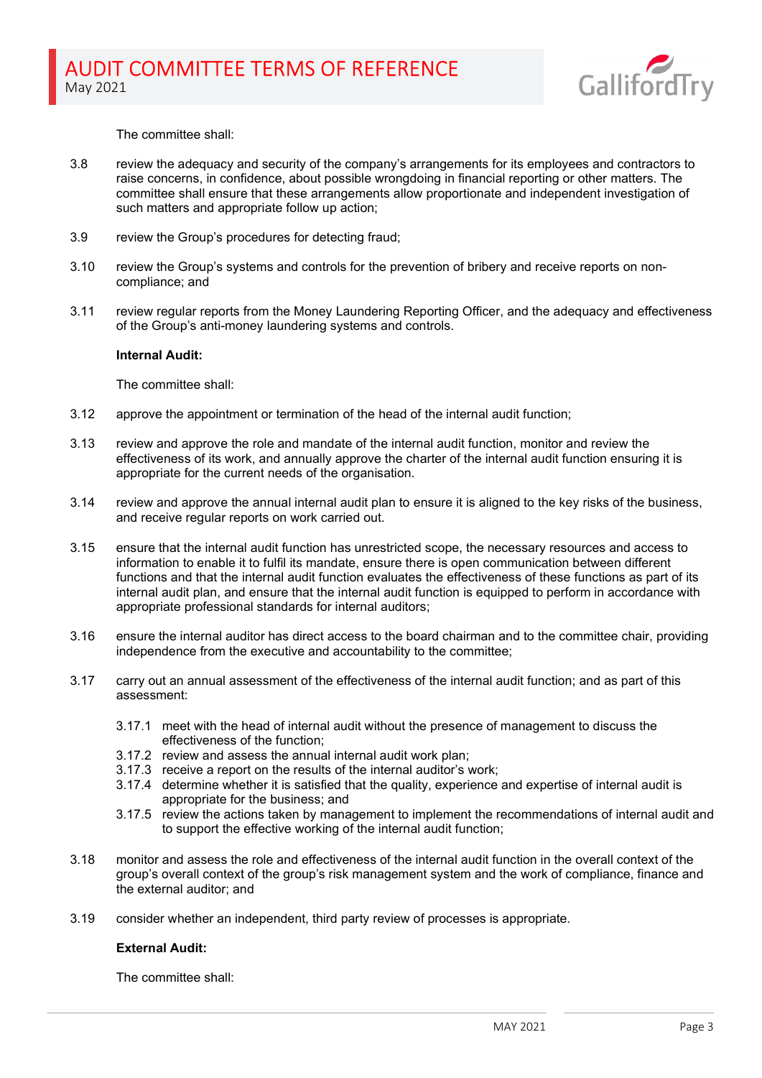

The committee shall:

- 3.8 review the adequacy and security of the company's arrangements for its employees and contractors to raise concerns, in confidence, about possible wrongdoing in financial reporting or other matters. The committee shall ensure that these arrangements allow proportionate and independent investigation of such matters and appropriate follow up action;
- 3.9 review the Group's procedures for detecting fraud;
- 3.10 review the Group's systems and controls for the prevention of bribery and receive reports on noncompliance; and
- 3.11 review regular reports from the Money Laundering Reporting Officer, and the adequacy and effectiveness of the Group's anti-money laundering systems and controls.

#### Internal Audit:

The committee shall:

- 3.12 approve the appointment or termination of the head of the internal audit function;
- 3.13 review and approve the role and mandate of the internal audit function, monitor and review the effectiveness of its work, and annually approve the charter of the internal audit function ensuring it is appropriate for the current needs of the organisation.
- 3.14 review and approve the annual internal audit plan to ensure it is aligned to the key risks of the business, and receive regular reports on work carried out.
- 3.15 ensure that the internal audit function has unrestricted scope, the necessary resources and access to information to enable it to fulfil its mandate, ensure there is open communication between different functions and that the internal audit function evaluates the effectiveness of these functions as part of its internal audit plan, and ensure that the internal audit function is equipped to perform in accordance with appropriate professional standards for internal auditors;
- 3.16 ensure the internal auditor has direct access to the board chairman and to the committee chair, providing independence from the executive and accountability to the committee;
- 3.17 carry out an annual assessment of the effectiveness of the internal audit function; and as part of this assessment:
	- 3.17.1 meet with the head of internal audit without the presence of management to discuss the effectiveness of the function;
	- 3.17.2 review and assess the annual internal audit work plan;
	- 3.17.3 receive a report on the results of the internal auditor's work;
	- 3.17.4 determine whether it is satisfied that the quality, experience and expertise of internal audit is appropriate for the business; and
	- 3.17.5 review the actions taken by management to implement the recommendations of internal audit and to support the effective working of the internal audit function;
- 3.18 monitor and assess the role and effectiveness of the internal audit function in the overall context of the group's overall context of the group's risk management system and the work of compliance, finance and the external auditor; and
- 3.19 consider whether an independent, third party review of processes is appropriate.

## External Audit:

The committee shall: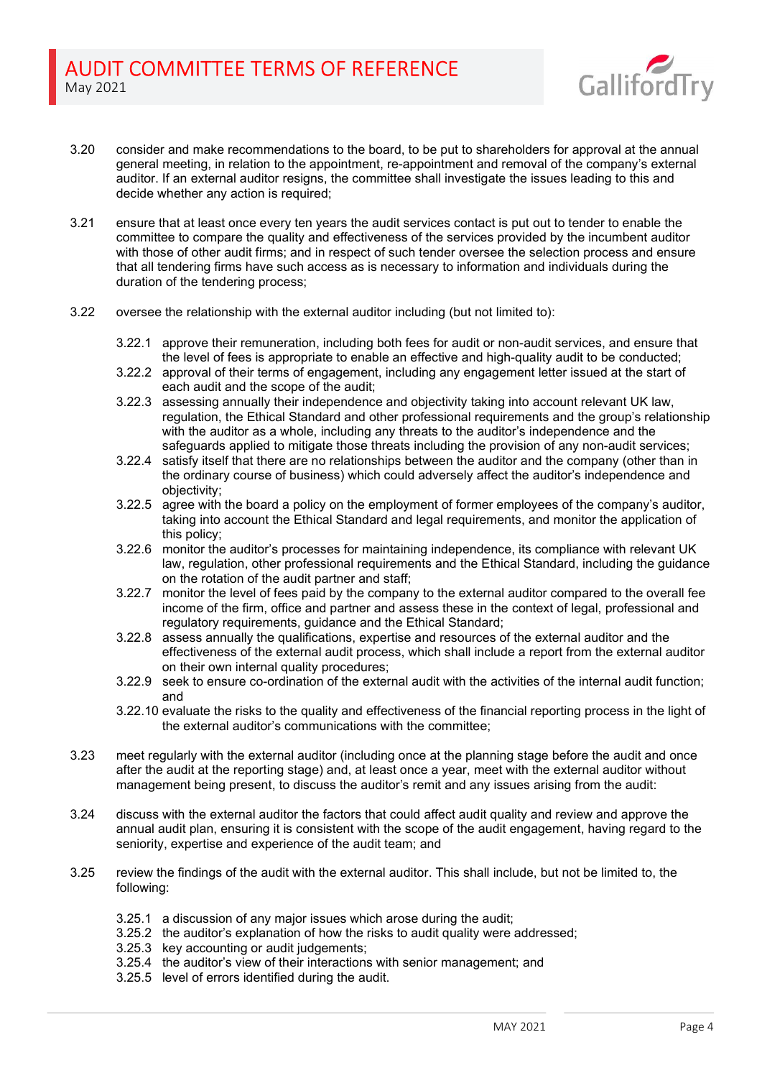

- 3.20 consider and make recommendations to the board, to be put to shareholders for approval at the annual general meeting, in relation to the appointment, re-appointment and removal of the company's external auditor. If an external auditor resigns, the committee shall investigate the issues leading to this and decide whether any action is required;
- 3.21 ensure that at least once every ten years the audit services contact is put out to tender to enable the committee to compare the quality and effectiveness of the services provided by the incumbent auditor with those of other audit firms; and in respect of such tender oversee the selection process and ensure that all tendering firms have such access as is necessary to information and individuals during the duration of the tendering process;
- 3.22 oversee the relationship with the external auditor including (but not limited to):
	- 3.22.1 approve their remuneration, including both fees for audit or non-audit services, and ensure that the level of fees is appropriate to enable an effective and high-quality audit to be conducted;
	- 3.22.2 approval of their terms of engagement, including any engagement letter issued at the start of each audit and the scope of the audit;
	- 3.22.3 assessing annually their independence and objectivity taking into account relevant UK law, regulation, the Ethical Standard and other professional requirements and the group's relationship with the auditor as a whole, including any threats to the auditor's independence and the safeguards applied to mitigate those threats including the provision of any non-audit services;
	- 3.22.4 satisfy itself that there are no relationships between the auditor and the company (other than in the ordinary course of business) which could adversely affect the auditor's independence and objectivity;
	- 3.22.5 agree with the board a policy on the employment of former employees of the company's auditor, taking into account the Ethical Standard and legal requirements, and monitor the application of this policy;
	- 3.22.6 monitor the auditor's processes for maintaining independence, its compliance with relevant UK law, regulation, other professional requirements and the Ethical Standard, including the guidance on the rotation of the audit partner and staff;
	- 3.22.7 monitor the level of fees paid by the company to the external auditor compared to the overall fee income of the firm, office and partner and assess these in the context of legal, professional and regulatory requirements, guidance and the Ethical Standard;
	- 3.22.8 assess annually the qualifications, expertise and resources of the external auditor and the effectiveness of the external audit process, which shall include a report from the external auditor on their own internal quality procedures;
	- 3.22.9 seek to ensure co-ordination of the external audit with the activities of the internal audit function; and
	- 3.22.10 evaluate the risks to the quality and effectiveness of the financial reporting process in the light of the external auditor's communications with the committee;
- 3.23 meet regularly with the external auditor (including once at the planning stage before the audit and once after the audit at the reporting stage) and, at least once a year, meet with the external auditor without management being present, to discuss the auditor's remit and any issues arising from the audit:
- 3.24 discuss with the external auditor the factors that could affect audit quality and review and approve the annual audit plan, ensuring it is consistent with the scope of the audit engagement, having regard to the seniority, expertise and experience of the audit team; and
- 3.25 review the findings of the audit with the external auditor. This shall include, but not be limited to, the following:
	- 3.25.1 a discussion of any major issues which arose during the audit;
	- 3.25.2 the auditor's explanation of how the risks to audit quality were addressed;
	- 3.25.3 key accounting or audit judgements;
	- 3.25.4 the auditor's view of their interactions with senior management; and
	- 3.25.5 level of errors identified during the audit.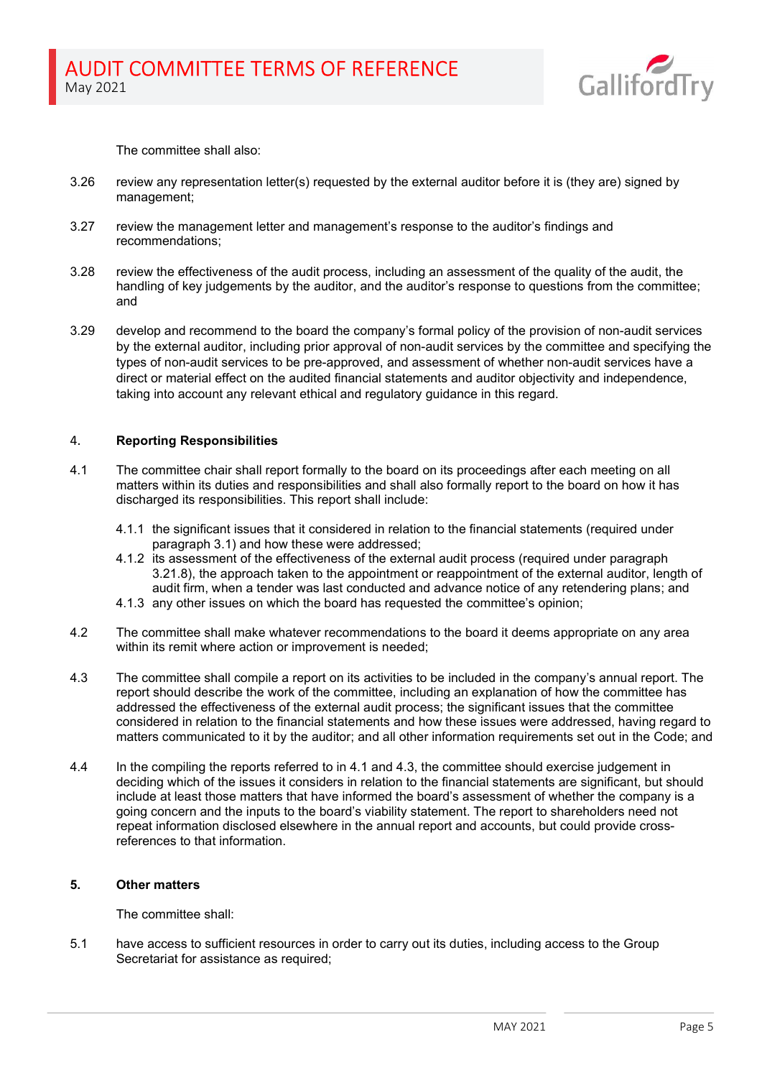

The committee shall also:

- 3.26 review any representation letter(s) requested by the external auditor before it is (they are) signed by management;
- 3.27 review the management letter and management's response to the auditor's findings and recommendations;
- 3.28 review the effectiveness of the audit process, including an assessment of the quality of the audit, the handling of key judgements by the auditor, and the auditor's response to questions from the committee; and
- 3.29 develop and recommend to the board the company's formal policy of the provision of non-audit services by the external auditor, including prior approval of non-audit services by the committee and specifying the types of non-audit services to be pre-approved, and assessment of whether non-audit services have a direct or material effect on the audited financial statements and auditor objectivity and independence, taking into account any relevant ethical and regulatory guidance in this regard.

# 4. Reporting Responsibilities

- 4.1 The committee chair shall report formally to the board on its proceedings after each meeting on all matters within its duties and responsibilities and shall also formally report to the board on how it has discharged its responsibilities. This report shall include:
	- 4.1.1 the significant issues that it considered in relation to the financial statements (required under paragraph 3.1) and how these were addressed;
	- 4.1.2 its assessment of the effectiveness of the external audit process (required under paragraph 3.21.8), the approach taken to the appointment or reappointment of the external auditor, length of audit firm, when a tender was last conducted and advance notice of any retendering plans; and
	- 4.1.3 any other issues on which the board has requested the committee's opinion;
- 4.2 The committee shall make whatever recommendations to the board it deems appropriate on any area within its remit where action or improvement is needed;
- 4.3 The committee shall compile a report on its activities to be included in the company's annual report. The report should describe the work of the committee, including an explanation of how the committee has addressed the effectiveness of the external audit process; the significant issues that the committee considered in relation to the financial statements and how these issues were addressed, having regard to matters communicated to it by the auditor; and all other information requirements set out in the Code; and
- 4.4 In the compiling the reports referred to in 4.1 and 4.3, the committee should exercise judgement in deciding which of the issues it considers in relation to the financial statements are significant, but should include at least those matters that have informed the board's assessment of whether the company is a going concern and the inputs to the board's viability statement. The report to shareholders need not repeat information disclosed elsewhere in the annual report and accounts, but could provide crossreferences to that information.

### 5. Other matters

The committee shall:

5.1 have access to sufficient resources in order to carry out its duties, including access to the Group Secretariat for assistance as required;